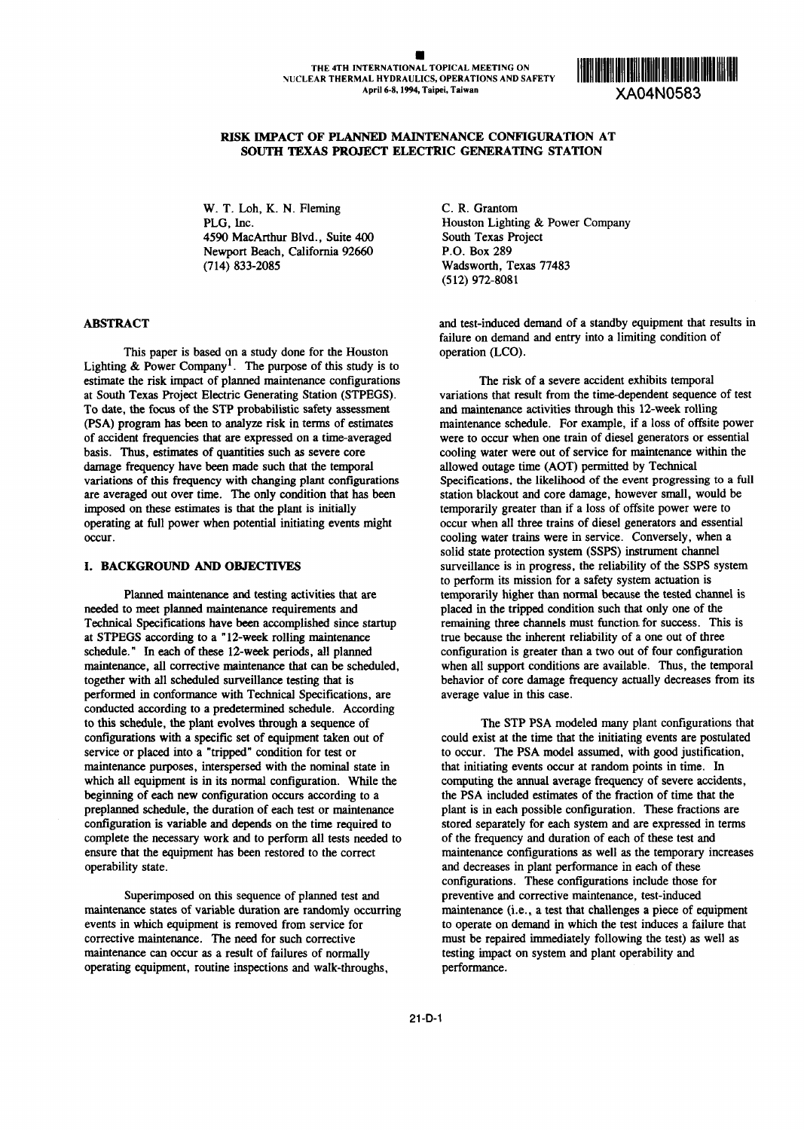

# **RISK EIPACT OF PLANNED MAINTENANCE CONFIGURATION** AT **SOUTH TEXAS PROJECT ELECTRIC GENERATING STATION**

W. T. Loh, K. N. Fleming C. R. Grantom 4590 MacArthur Blvd., Suite 400 South Texas Project<br>Newport Beach, California 92660 P.O. Box 289 Newport Beach, California 92660 (714) 833-2085 Wadsworth, Texas 77483

This paper is based on a study done for the Houston operation (LCO). Lighting & Power Company<sup>1</sup>. The purpose of this study is to estimate the risk impact of planned maintenance configurations The risk of **a** severe accident exhibits temporal at South Texas Project Electric Generating Station (STPEGS). variations that result from the time-dependent sequence of test<br>To date, the focus of the STP probabilistic safety assessment and maintenance activities through To date, the focus of the STP probabilistic safety assessment (PSA) program has been to analyze risk in terms of estimates of accident frequencies that are expressed on a time-averaged were to occur when one train of diesel generators or essential basis. Thus, estimates of quantities such as severe core cooling water were out of service for maintenance within the damage frequency have been made such that the temporal allowed outage time (AOT) permitted by Technical variations of this frequency with changing plant configurations Specifications, the likelihood of the event progressin variations of this frequency with changing plant configurations are averaged out over time. The only condition that has been station blackout and core damage, however small, would be imposed on these estimates is that the plant is initially temporarily greater than if a loss of offsite power were to operating at full power when potential initiating events might occur when all three trains of diesel generators and essential occur. cooling water trains were in service. Conversely, when a

needed to meet planned maintenance requirements and placed in the tripped condition such that only one of the Technical Specifications have been accomplished since startup remaining three channels must function for success. This is at STPEGS according to a 12-week rolling maintenance true because the inherent reliability of a one out of three schedule." In each of these 12-week periods, all planned configuration is greater than a two out of four configuration maintenance, all corrective maintenance that can be scheduled, when all support conditions are available. Thus, the temporal together with all scheduled surveillance testing that is behavior of core damage frequency actually decreases from its performed in conformance with Technical Specifications, are average value in this case. performed in conformance with Technical Specifications, are conducted according to a predetermined schedule. According to this schedule, the plant evolves through a sequence of The STP PSA modeled many plant configurations that configurations with a specific set of equipment taken out of could exist at the time that the initiating events are postulated<br>service or placed into a "tripped" condition for test or the DSA model assumed, with good justi maintenance purposes, interspersed with the nominal state in that initiating events occur at random points in time. In which all equipment is in its normal configuration. While the computing the annual average frequency of severe accidents, beginning of each new configuration occurs according to a the PSA included estimates of the fraction beginning of each new configuration occurs according to a preplanned schedule, the duration of each test or maintenance plant is in each possible configuration. These fractions are configuration is variable and depends on the time required to stored separately for each system and are expressed in terms complete the necessary work and to perform all tests needed to of the frequency and duration of each of these test and ensure that the equipment has been restored to the correct maintenance configurations as well as the temporary increases operability state. and decreases in plant performance in each of these

Superimposed on this sequence of planned test and preventive and corrective maintenance, test-induced maintenance states of variable duration are randomly occurring maintenance (i.e., a test that challenges a piece of equipment events in which equipment is removed from service for to operate on demand in which the test induces a failure that corrective maintenance. The need for such corrective must be repaired imediately following the test) as well as maintenance can occur as a result of failures of normally testing ipact on system and plant operability and operating equipment, routine inspections and walk-throughs, performance.

PLG, Inc. The Power Company Houston Lighting & Power Company (512) 972-8081

**ABSTRACT** and test-induced demand of a standby equipment that results in failure on demand and entry into a limiting condition of

maintenance schedule. For example, if a loss of offsite power solid state protection system (SSPS) instrument channel **I. BACKGROUND AND OBJECTIVES** surveillance is in progress, the reliability of the SSPS system to perform its mission for a safety system actuation is Planned maintenance and testing activities that are temporarily higher than normal because the tested channel is

> to occur. The PSA model assumed, with good justification, configurations. These configurations include those for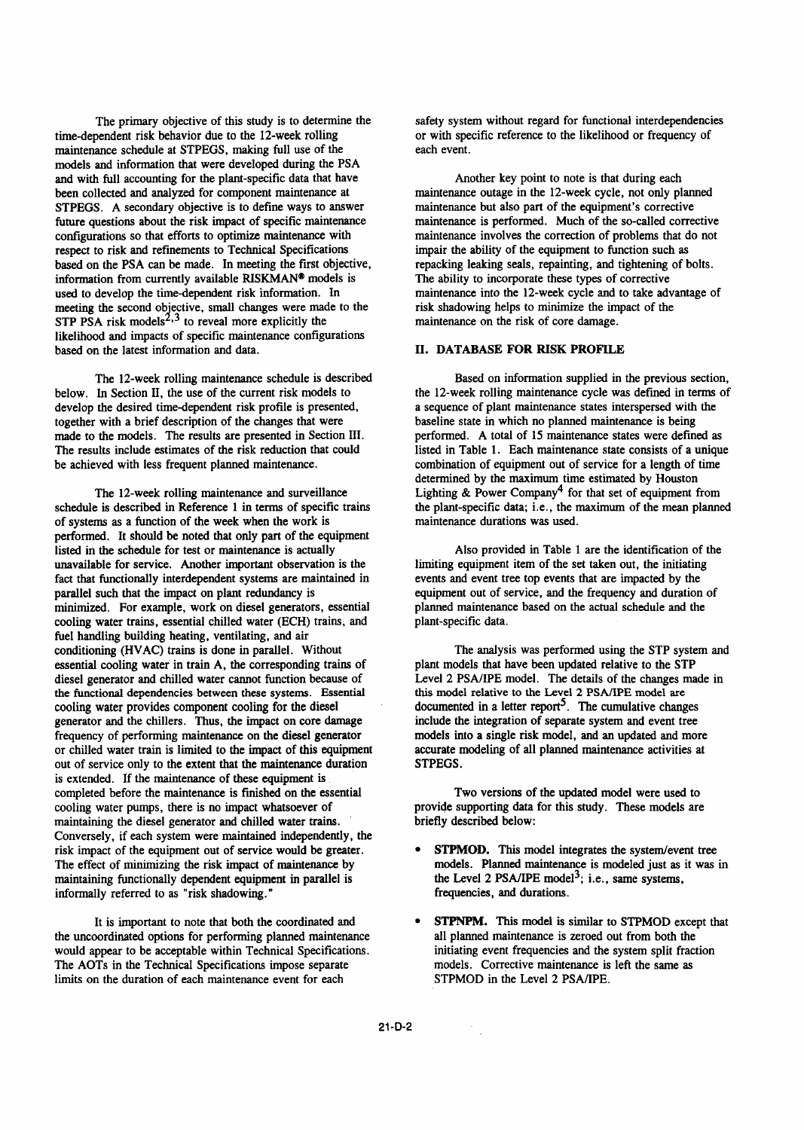time-dependent risk behavior due to the 12-week rolling or with specific reference to the likelihood or frequency of maintenance schedule at STPEGS, making full use of the each event. models and information that were developed during the PSA and with full accounting for the plant-specific data that have Another key point to note is that during each been collected and analyzed for component maintenance at maintenance outage in the 12-week cycle, not only planned STPEGS. A secondary objective is to define ways to answer maintenance but also part of the equipment's corrective future questions about the risk impact of specific maintenance maintenance is performed. Much of the so-called corrective respect to risk and refinements to Technical Specifications impair the ability of the equipment to function such as based on the PSA can be made. In meeting the first objective, repacking leaking seals, repainting, and tightening of bolts. information from currently available RISKMAN<sup>®</sup> models is The ability to incorporate these types of corrective used to develop the time-dependent risk information. In maintenance into the 12-week cycle and to take adv meeting the second objective, small changes were made to the risk shadowing helps to minimize the impact of the STP PSA risk models<sup>2,3</sup> to reveal more explicitly the maintenance on the risk of core damage. likelihood and impacts of specific maintenance configurations based on the latest information and data.

below. In Section II, the use of the current risk models to the 12-week rolling maintenance cycle was defined in terms of develop the desired time-dependent risk profile is presented, a sequence of plant maintenance states interspersed with the together with a brief description of the changes that were baseline state in which no planned maintenance is being<br>made to the models. The results are presented in Section III. performed. A total of 15 maintenance states w made to the models. The results are presented in Section III. The results include estimates of the risk reduction that could listed in Table 1. Each maintenance state consists of a unique be achieved with less frequent planned maintenance. combination of equipment out of service for a length of time

schedule is described in Reference 1 in terms of specific trains of systems as a function of the week when the work is maintenance durations was used. performed. It should be noted that only part of the equipment listed in the schedule for test or maintenance is actually Also provided in Table 1 are the identification of the unavailable for service. Another important observation is the limiting equipment item of the set taken out, the initiating fact that functionally interdependent systems are maintained in events and event tree top events th fact that functionally interdependent systems are maintained in parallel such that the impact on plant redundancy is equipment out of service, and the frequency and duration of minimized. For example, work on diesel generators, essential planned maintenance based on the actual schedule and the cooling water trains, essential chilled water (ECH) trains, and plant-specific data. fuel handling building heating, ventilating, and air conditioning (HVAC) trains is done in parallel. Without The analysis was performed using the STP system and essential cooling water in train A, the corresponding trains of plant models that have been updated relative to the STP diesel generator and chilled water cannot function because of Level 2 PSA/IPE model. The details of th diesel generator and chilled water cannot function because of Level 2 PSA/IPE model. The details of the changes n<br>the functional dependencies between these systems. Essential this model relative to the Level 2 PSA/IPE mode the functional dependencies between these systems. Essential this model relative to the Level 2 PSA/IPE model are cooling water provides component cooling for the diesel documented in a letter report<sup>5</sup>. The cumulative cha cooling water provides component cooling for the diesel generator and the chillers. Thus, the impact on core damage include the integration of separate system and event tree<br>frequency of performing maintenance on the diesel generator models into a single risk model, and an upda frequency of performing maintenance on the diesel generator or chilled water train is limited to the impact of this equipment accurate modeling of all planned maintenance activities at out of service only to the extent that the maintenance duration STPEGS. is extended. If the maintenance of these equipment is completed before the maintenance is finished on the essential Two versions of the updated model were used to cooling water pumps, there is no impact whatsoever of provide supporting data for this study. These models are maintaining the diesel generator and chilled water trains. briefly described below: Conversely, if each system were maintained independently, the risk impact of the equipment out of service would be greater. <br> **•** STPMOD. This model integrates the system/event tree The effect of minimizing the risk impact of maintenance by models. Planned maintenance is modeled just as it was in maintaining functionally dependent equipment in parallel is the Level 2 PSA/IPE model<sup>3</sup>; i.e., same systems, informally referred to as "risk shadowing." frequencies, and durations.

the uncoordinated options for performing planned maintenance would appear to be acceptable within Technical Specifications. initiating event frequencies and the system split fraction The AOTs in the Technical Specifications impose separate models. Corrective maintenance is left the same as limits on the duration of each maintenance event for each STPMOD in the Level 2 PSA/IPE.

The primary objective of this study is to determine the safety system without regard for functional interdependencies

maintenance involves the correction of problems that do not maintenance into the 12-week cycle and to take advantage of

# II. DATABASE FOR RISK PROFILE

The 12-week rolling maintenance schedule is described Based on information supplied in the previous section, determined by the maximum time estimated by Houston The 12-week rolling maintenance and surveillance Lighting & Power Company<sup>4</sup> for that set of equipment from  $e$  is described in Reference 1 in terms of specific trains the plant-specific data; i.e., the maximum of the mea

- 
- It is important to note that both the coordinated and **0 STPNPM.** This model is similar to STPMOD except that coordinated options for performing planned maintenance all planned maintenance is zeroed out from both the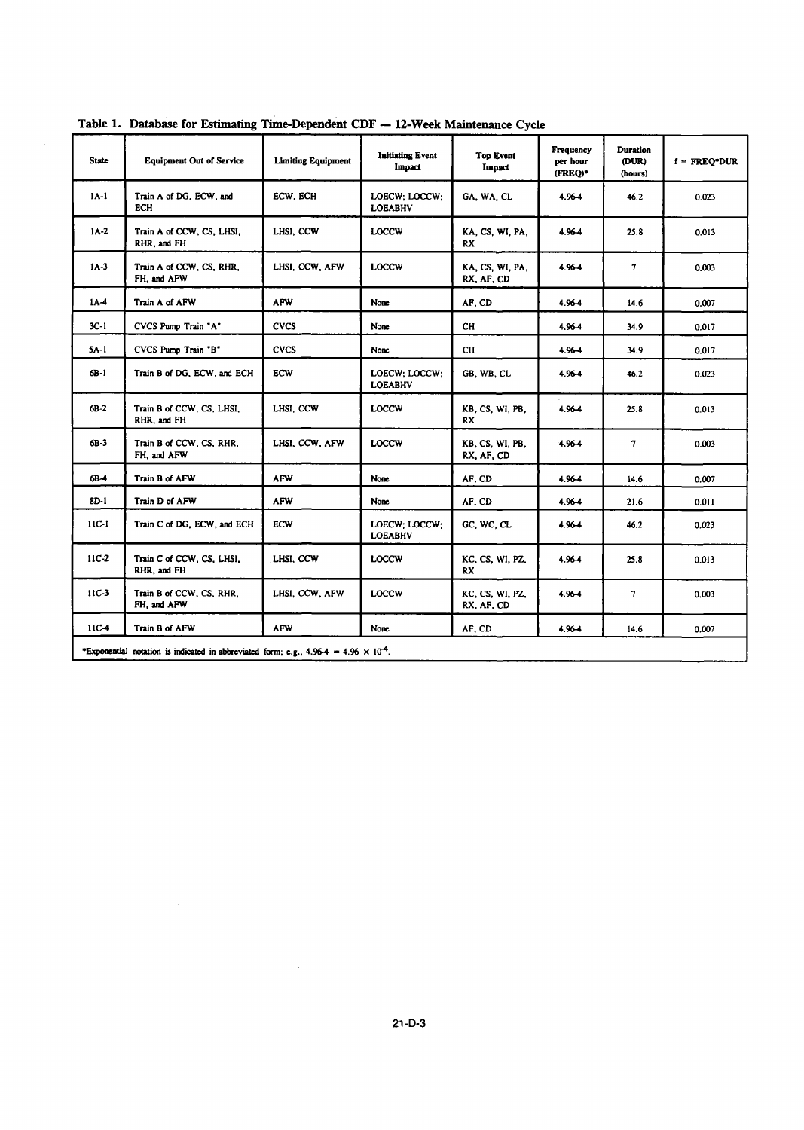| <b>State</b>     | <b>Equipment Out of Service</b>          | <b>Limiting Equipment</b> | <b>Initiating Event</b><br>Impact | <b>Top Event</b><br>Impact    | <b>Frequency</b><br>per hour<br>(FREO)* | <b>Duration</b><br>(DUR)<br>(hours) | $f = FREQ*DUR$ |
|------------------|------------------------------------------|---------------------------|-----------------------------------|-------------------------------|-----------------------------------------|-------------------------------------|----------------|
| $1A-1$           | Train A of DG, ECW, and<br>ECH           | ECW, ECH                  | LOECW: LOCCW:<br><b>LOEABHV</b>   | GA, WA, CL                    | 4.964                                   | 46.2                                | 0.023          |
| $IA-2$           | Train A of CCW, CS, LHSI,<br>RHR, and FH | LHSI, CCW                 | <b>LOCCW</b>                      | KA, CS, WI, PA,<br>RX.        | 4.964                                   | 25.8                                | 0.013          |
| $1A-3$           | Train A of CCW, CS, RHR,<br>FH, and AFW  | LHSI, CCW, AFW            | <b>LOCCW</b>                      | KA, CS, WI, PA,<br>RX, AF, CD | 4.964                                   | $\overline{7}$                      | 0.003          |
| $1A-4$           | Train A of AFW                           | <b>AFW</b>                | None                              | AF, CD                        | 4.96-4                                  | 14.6                                | 0.007          |
| $3C-1$           | CVCS Pump Train "A"                      | <b>CVCS</b>               | None                              | CH.                           | 4.96-4                                  | 34.9                                | 0.017          |
| $5A-1$           | CVCS Pump Train 'B"                      | <b>CVCS</b>               | None                              | <b>CH</b>                     | 4.964                                   | 34.9                                | 0.017          |
| $6B-1$           | Train B of DG, ECW, and ECH              | ECW                       | LOECW; LOCCW;<br><b>LOEABHV</b>   | GB, WB, CL                    | 4.96-4                                  | 46.2                                | 0.023          |
| $6B-2$           | Train B of CCW, CS, LHSI,<br>RHR. and FH | LHSI, CCW                 | <b>LOCCW</b>                      | KB, CS, WI, PB,<br>RX         | 4.964                                   | 25.8                                | 0.013          |
| $6B-3$           | Train B of CCW, CS, RHR,<br>FH, and AFW  | LHSI, CCW, AFW            | <b>LOCCW</b>                      | KB, CS, WI, PB,<br>RX, AF, CD | 4.964                                   | 7                                   | 0.003          |
| 6B-4             | Train B of AFW                           | <b>AFW</b>                | <b>None</b>                       | AF, CD                        | 4.96-4                                  | 14.6                                | 0.007          |
| 8D-1             | Train D of AFW                           | <b>AFW</b>                | None                              | AF, CD                        | 4.964                                   | 21.6                                | 0.011          |
| $11C-1$          | Train C of DG, ECW, and ECH              | <b>ECW</b>                | LOECW: LOCCW:<br><b>LOEABHV</b>   | GC, WC, CL                    | 4.96-4                                  | 46.2                                | 0.023          |
| 11C <sub>2</sub> | Train C of CCW, CS, LHSI,<br>RHR, and FH | LHSI, CCW                 | LOCCW                             | KC, CS, WI, PZ,<br>RX         | 4.96-4                                  | 25.8                                | 0.013          |
| $11C-3$          | Train B of CCW, CS, RHR,<br>FH, and AFW  | LHSI, CCW, AFW            | LOCCW                             | KC, CS, WI, PZ,<br>RX, AF, CD | 4.964                                   | 7                                   | 0.003          |
| $11C-4$          | Train B of AFW                           | <b>AFW</b>                | None                              | AF. CD                        | 4.96-4                                  | 14.6                                | 0.007          |

**Table 1. Database for** Estimating **Time-Dependent CDF - 12-Week Maintenance** Cycle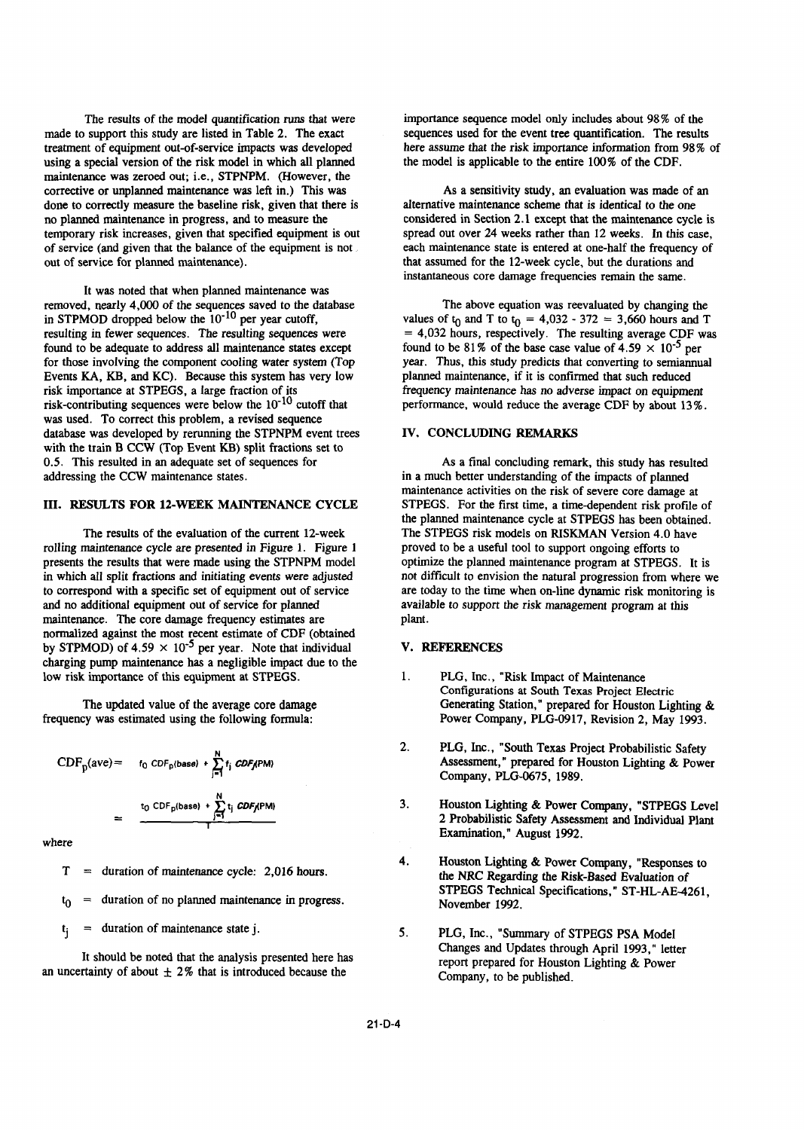made to support this study are listed in Table 2. The exact sequences used for the event tree quantification. The results treatment of equipment out-of-service impacts was developed here assume that the risk importance information from 98% of using a special version of the risk model in which all planned the model is applicable to the entire 100% of the CDF. maintenance was zeroed out; i.e., STPNPM. (However, the corrective or unplanned maintenance was left in.) This was As a sensitivity study, an evaluation was made of an done to correctly measure the baseline risk, given that there is alternative maintenance scheme that is identical to the one<br>no planned maintenance in progress, and to measure the considered in Section 2.1 except that the no planned maintenance in progress, and to measure the considered in Section 2.1 except that the maintenance cycle is<br>temporary risk increases, given that specified equipment is out spread out over 24 weeks rather than 12 temporary risk increases, given that specified equipment is out of service (and given that the balance of the equipment is not each maintenance state is entered at one-half the frequency of

It was noted that when planned maintenance was removed, nearly 4,000 of the sequences saved to the database The above equation was reevaluated by changing the in STPMOD dropped below the 10<sup>-10</sup> per year cutoff, values of t<sub>0</sub> and T to t<sub>0</sub> = 4,032 - 372 = 3,660 hours resulting in fewer sequences. The resulting sequences were  $= 4,032$  hours, respectively. The resulting average CDF was found to be adequate to address all maintenance states except found to be 81% of the base case value of  $4.59 \times 10^{-5}$  per for those involving the component cooling water system (Top year. Thus, this study predicts that converting to semiannual Events KA, KB, and KC). Because this system has very low planned maintenance, if it is confirmed that such reduced risk importance at STPEGS, a large fraction of its frequency maintenance has no adverse impact on equipment risk-contributing sequences were below the  $10^{-10}$  cutoff that performance, would reduce the average CDF by abou was used. To correct this problem, a revised sequence database was developed by rerunning the STPNPM event trees **IV. CONCLUDING REMARKS** with the train B CCW (Top Event KB) split fractions set to 0.5. This resulted in an adequate set of sequences for As a final concluding remark, this study has resulted addressing the CCW maintenance states. in a much better understanding of the impacts of planned

rolling maintenance cycle are presented in Figure 1. Figure 1 presents the results that were made using the STPNPM model optimize the planned maintenance program at STPEGS. It is to correspond with a specific set of equipment out of service are today to the time when on-line dynamic risk monitoring is and no additional equipment out of service for planned available to support the risk management program at this maintenance. The core damage frequency estimates are plant. normalized against the most recent estimate of CDF (obtained by STPMOD) of 4.59  $\times$  10<sup>-5</sup> per year. Note that individual V. REFERENCES charging pump maintenance has a negligible impact due to the low risk importance of this equipment at STPEGS. 1. PLG, Inc., "Risk Impact of Maintenance

$$
CDF_p(ave) = \t_{0} CDF_p(base) + \sum_{j=1}^{N} t_j CDF_jPM)
$$
  
= 
$$
\frac{t_0 CDF_p(base) + \sum_{j=1}^{N} t_j CDF_jPM)}{1 - \sum_{j=1}^{N} t_j CDF_jPM}
$$

- 
- $t_0$  = duration of no planned maintenance in progress.
- 

an uncertainty of about  $\pm 2\%$  that is introduced because the Company, to be published.

The results of the model quantification runs that were importance sequence model only includes about 98% of the

out of service for planned maintenance). that assumed for the 12-week cycle, but the durations and instantaneous core damage frequencies remain the same.

> values of  $t_0$  and T to  $t_0 = 4,032 - 372 = 3,660$  hours and T performance, would reduce the average CDF by about 13%.

maintenance activities on the risk of severe core damage at III. RESULTS FOR 12-WEEK MAINTENANCE CYCLE STPEGS. For the first time, a time-dependent risk profile of the planned maintenance cycle at STPEGS has been obtained. The results of the evaluation of the current 12-week The STPEGS risk models on RISKMAN Version 4.0 have maintenance cycle are presented in Figure 1. Figure 1 proved to be a useful tool to support ongoing efforts to in which all split fractions and initiating events *were* adjusted not difficult to envision the natural progression from where we

- Configurations at South Texas Project Electric The updated value of the average core damage Generating Station," prepared for Houston Lighting & frequency was estimated using the following formula: Power Company, PLG-0917, Revision 2, May 1993.
	- 2. PLG, Inc., "South Texas Project Probabilistic Safety Assessment," prepared for Houston Lighting & Power Company, PLG-0675, 1989.
- 3. Houston Lighting & Power Company, "STPEGS Level 2 Probabilistic Safety Assessment and Individual Plant Examination," August 1992. where  $\blacksquare$ 
	- 4. Houston Lighting & Power Company, "Responses to  $T =$  duration of maintenance cycle: 2,016 hours. the NRC Regarding the Risk-Based Evaluation of STPEGS Technical Specifications," ST-HL-AE-4261,<br>November 1992.
	- tj = duration of maintenance state j. *5.* PLG, Inc., "Summary of STPEGS PSA Model Changes and Updates through April 1993," letter It should be noted that the analysis presented here has report prepared for Houston Lighting & Power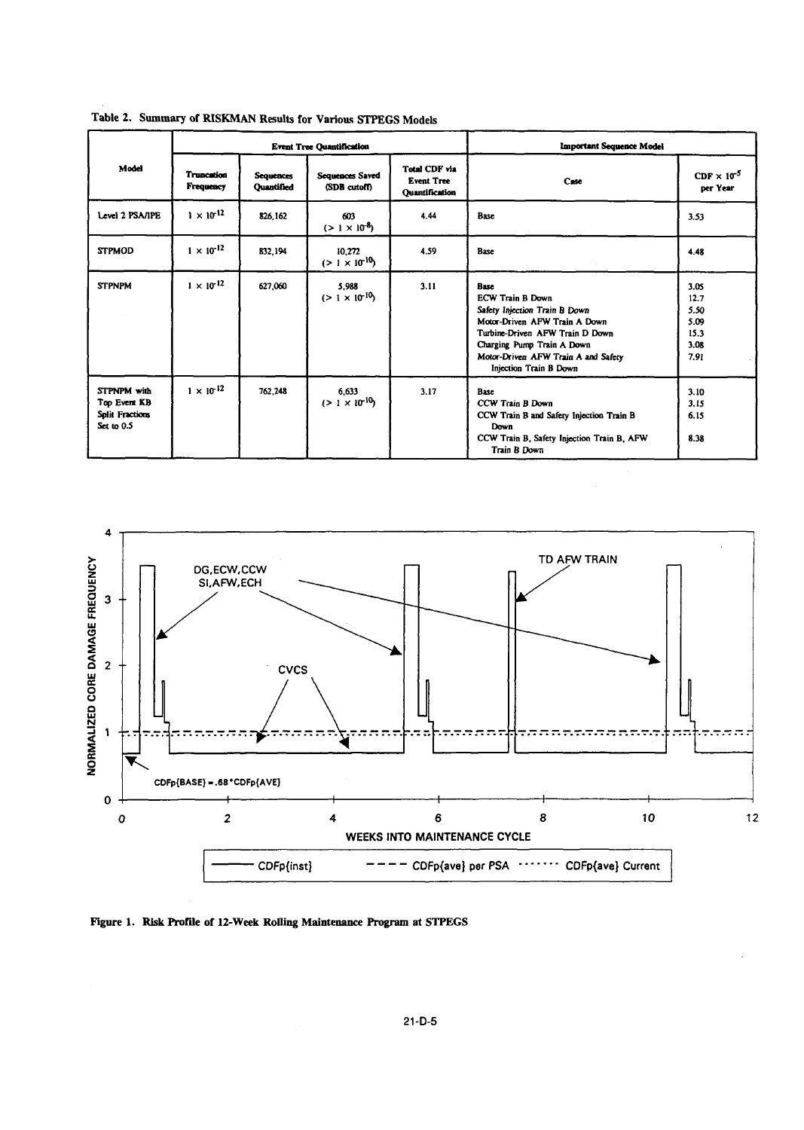|                                                                            | <b>Event Tree Quantification</b> |                                       |                                  |                                                                    | <b>Important Sequence Model</b>                                                                                                                                                                                                     |                                                      |  |
|----------------------------------------------------------------------------|----------------------------------|---------------------------------------|----------------------------------|--------------------------------------------------------------------|-------------------------------------------------------------------------------------------------------------------------------------------------------------------------------------------------------------------------------------|------------------------------------------------------|--|
| Model                                                                      | <b>Truncation</b><br>Frequency   | <b>Sequences</b><br><b>Ouantified</b> | Sequences Saved<br>(SDB cutoff)  | <b>Total CDF via</b><br><b>Event Tree</b><br><b>Ouantification</b> | Case                                                                                                                                                                                                                                | $CDF \times 10^{-5}$<br>per Year                     |  |
| Level 2 PSA/IPE                                                            | $1 \times 10^{-12}$              | 826.162                               | 603<br>$(>1 \times 10^{-8})$     | 4.44                                                               | Base                                                                                                                                                                                                                                | 3.53                                                 |  |
| <b>STPMOD</b>                                                              | $1 \times 10^{-12}$              | 832,194                               | 10,272<br>$(>1 \times 10^{10})$  | 4.59                                                               | Base                                                                                                                                                                                                                                | 4.48                                                 |  |
| <b>STPNPM</b>                                                              | $1 \times 10^{-12}$              | 627,060                               | 5,988<br>$(> 1 \times 10^{-10})$ | 3.11                                                               | Base<br><b>ECW Train B Down</b><br>Safety Injection Train B Down<br>Motor-Driven AFW Train A Down<br>Turbine-Driven AFW Train D Down<br>Charging Pump Train A Down<br>Motor-Driven AFW Train A and Safety<br>Injection Train B Down | 3.05<br>12.7<br>5.50<br>5.09<br>15.3<br>3.08<br>7.91 |  |
| <b>STPNPM</b> with<br>Top Event KB<br><b>Split Fractions</b><br>Set to 0.5 | $1 \times 10^{-12}$              | 762,248                               | 6,633<br>$(>1 \times 10^{-10})$  | 3.17                                                               | Base<br>CCW Train B Down<br>CCW Train B and Safety Injection Train B<br>Down<br>CCW Train B, Safety Injection Train B, AFW<br>Train B Down                                                                                          | 3.10<br>3.15<br>6.15<br>8.38                         |  |

Table 2. Summary of RISKMAN Results for Various STPEGS Models



Figure 1. Risk Profile of 12-Week Rolling Maintenance Program at STPEGS